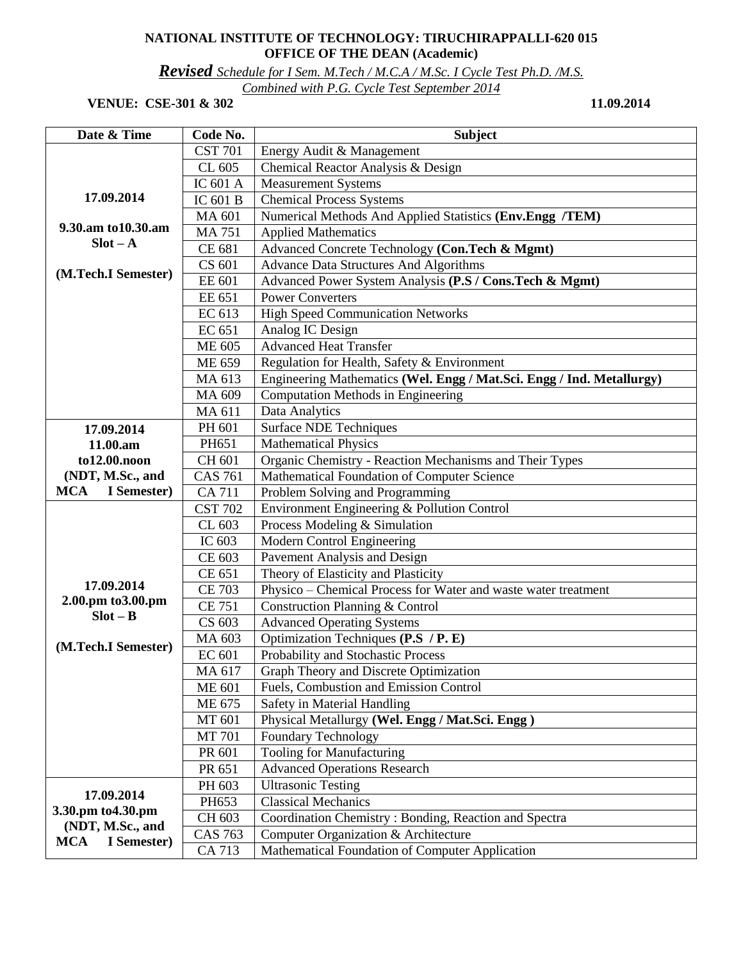## **NATIONAL INSTITUTE OF TECHNOLOGY: TIRUCHIRAPPALLI-620 015 OFFICE OF THE DEAN (Academic)**

*Revised Schedule for I Sem. M.Tech / M.C.A / M.Sc. I Cycle Test Ph.D. /M.S.* 

*Combined with P.G. Cycle Test September 2014* 

## **VENUE:** CSE-301 & 302 11.09.2014

| Date & Time                            | Code No.       | <b>Subject</b>                                                        |
|----------------------------------------|----------------|-----------------------------------------------------------------------|
|                                        | <b>CST 701</b> | Energy Audit & Management                                             |
|                                        | CL 605         | Chemical Reactor Analysis & Design                                    |
|                                        | IC 601 A       | <b>Measurement Systems</b>                                            |
| 17.09.2014                             | IC 601 B       | <b>Chemical Process Systems</b>                                       |
|                                        | MA 601         | Numerical Methods And Applied Statistics (Env.Engg /TEM)              |
| 9.30.am to 10.30.am                    | <b>MA 751</b>  | <b>Applied Mathematics</b>                                            |
| $Slot - A$                             | CE 681         | Advanced Concrete Technology (Con.Tech & Mgmt)                        |
|                                        | CS 601         | <b>Advance Data Structures And Algorithms</b>                         |
| (M.Tech.I Semester)                    | EE 601         | Advanced Power System Analysis (P.S / Cons.Tech & Mgmt)               |
|                                        | EE 651         | <b>Power Converters</b>                                               |
|                                        | EC 613         | <b>High Speed Communication Networks</b>                              |
|                                        | EC 651         | Analog IC Design                                                      |
|                                        | ME 605         | <b>Advanced Heat Transfer</b>                                         |
|                                        | ME 659         | Regulation for Health, Safety & Environment                           |
|                                        | MA 613         | Engineering Mathematics (Wel. Engg / Mat.Sci. Engg / Ind. Metallurgy) |
|                                        | MA 609         | <b>Computation Methods in Engineering</b>                             |
|                                        | MA 611         | Data Analytics                                                        |
| 17.09.2014                             | PH 601         | <b>Surface NDE Techniques</b>                                         |
| 11.00.am                               | PH651          | <b>Mathematical Physics</b>                                           |
| to12.00.noon                           | CH 601         | Organic Chemistry - Reaction Mechanisms and Their Types               |
| (NDT, M.Sc., and                       | <b>CAS 761</b> | Mathematical Foundation of Computer Science                           |
| <b>MCA</b><br>I Semester)              | <b>CA 711</b>  | Problem Solving and Programming                                       |
|                                        | <b>CST 702</b> | Environment Engineering & Pollution Control                           |
|                                        | CL 603         | Process Modeling & Simulation                                         |
|                                        | IC 603         | Modern Control Engineering                                            |
|                                        | CE 603         | Pavement Analysis and Design                                          |
|                                        | CE 651         | Theory of Elasticity and Plasticity                                   |
| 17.09.2014                             | <b>CE 703</b>  | Physico – Chemical Process for Water and waste water treatment        |
| 2.00.pm to 3.00.pm                     | <b>CE 751</b>  | Construction Planning & Control                                       |
| $Slot - B$                             | CS 603         | <b>Advanced Operating Systems</b>                                     |
| (M.Tech.I Semester)                    | MA 603         | Optimization Techniques (P.S / P. E)                                  |
|                                        | <b>EC 601</b>  | Probability and Stochastic Process                                    |
|                                        | MA 617         | Graph Theory and Discrete Optimization                                |
|                                        | <b>ME 601</b>  | Fuels, Combustion and Emission Control                                |
|                                        | ME 675         | Safety in Material Handling                                           |
|                                        | MT 601         | Physical Metallurgy (Wel. Engg / Mat.Sci. Engg )                      |
|                                        | MT 701         | <b>Foundary Technology</b>                                            |
|                                        | PR 601         | <b>Tooling for Manufacturing</b>                                      |
|                                        | PR 651         | <b>Advanced Operations Research</b>                                   |
|                                        | PH 603         | <b>Ultrasonic Testing</b>                                             |
| 17.09.2014                             | PH653          | <b>Classical Mechanics</b>                                            |
| 3.30.pm to 4.30.pm<br>(NDT, M.Sc., and | CH 603         | Coordination Chemistry: Bonding, Reaction and Spectra                 |
| <b>MCA</b><br>I Semester)              | <b>CAS 763</b> | Computer Organization & Architecture                                  |
|                                        | CA 713         | Mathematical Foundation of Computer Application                       |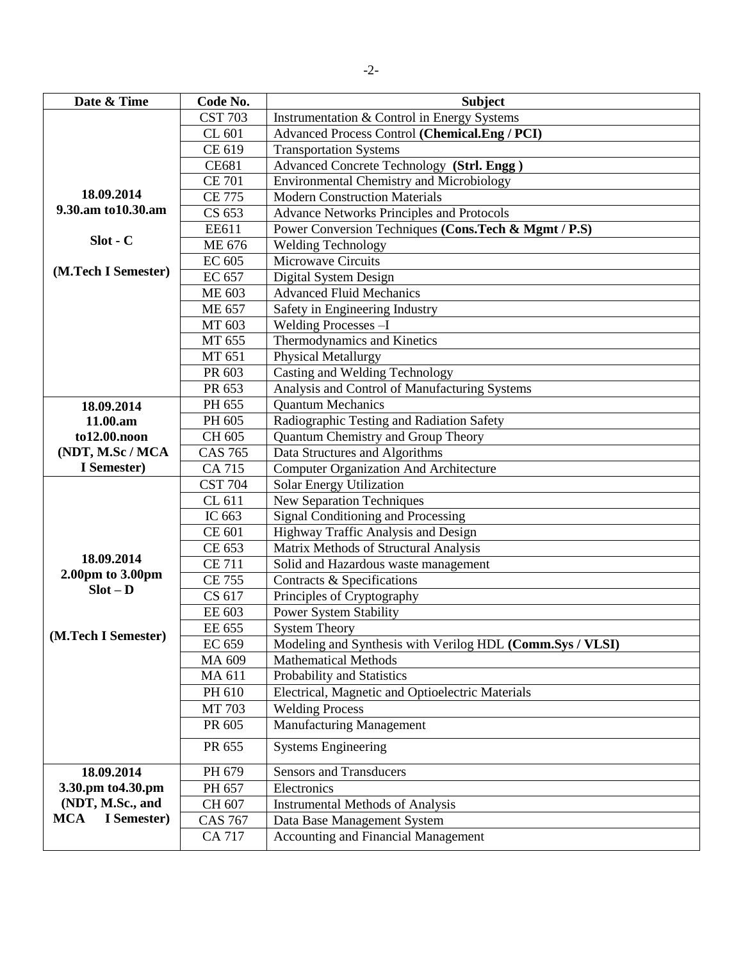| Date & Time               | Code No.                       | <b>Subject</b>                                            |
|---------------------------|--------------------------------|-----------------------------------------------------------|
|                           | <b>CST 703</b>                 | Instrumentation & Control in Energy Systems               |
|                           | CL 601                         | Advanced Process Control (Chemical.Eng / PCI)             |
|                           | CE 619                         | <b>Transportation Systems</b>                             |
|                           | <b>CE681</b>                   | Advanced Concrete Technology (Strl. Engg)                 |
|                           | <b>CE 701</b>                  | <b>Environmental Chemistry and Microbiology</b>           |
| 18.09.2014                | <b>CE 775</b>                  | <b>Modern Construction Materials</b>                      |
| 9.30.am to 10.30.am       | CS 653                         | <b>Advance Networks Principles and Protocols</b>          |
|                           | EE611                          | Power Conversion Techniques (Cons.Tech & Mgmt / P.S)      |
| $Slot - C$                | ME 676                         | Welding Technology                                        |
|                           | EC 605                         | Microwave Circuits                                        |
| (M.Tech I Semester)       | EC 657                         | Digital System Design                                     |
|                           | <b>ME 603</b>                  | <b>Advanced Fluid Mechanics</b>                           |
|                           | <b>ME 657</b>                  | Safety in Engineering Industry                            |
|                           | MT 603                         | Welding Processes -I                                      |
|                           | MT 655                         | Thermodynamics and Kinetics                               |
|                           | MT 651                         | <b>Physical Metallurgy</b>                                |
|                           | PR 603                         | Casting and Welding Technology                            |
|                           | PR 653                         | Analysis and Control of Manufacturing Systems             |
| 18.09.2014                | PH 655                         | <b>Quantum Mechanics</b>                                  |
| 11.00.am                  | PH 605                         | Radiographic Testing and Radiation Safety                 |
| to12.00.noon              | CH 605                         | Quantum Chemistry and Group Theory                        |
| (NDT, M.Sc / MCA          | <b>CAS 765</b>                 | Data Structures and Algorithms                            |
| I Semester)               | <b>CA 715</b>                  | <b>Computer Organization And Architecture</b>             |
|                           | <b>CST 704</b>                 | Solar Energy Utilization                                  |
|                           | CL 611                         | <b>New Separation Techniques</b>                          |
|                           | IC 663                         | <b>Signal Conditioning and Processing</b>                 |
|                           | CE 601                         | Highway Traffic Analysis and Design                       |
| 18.09.2014                | CE 653                         | Matrix Methods of Structural Analysis                     |
| 2.00pm to 3.00pm          | <b>CE 711</b><br><b>CE 755</b> | Solid and Hazardous waste management                      |
| $Slot - D$                | CS 617                         | Contracts & Specifications<br>Principles of Cryptography  |
|                           | EE 603                         | <b>Power System Stability</b>                             |
| (M.Tech I Semester)       | EE 655                         | <b>System Theory</b>                                      |
|                           | EC 659                         | Modeling and Synthesis with Verilog HDL (Comm.Sys / VLSI) |
|                           | MA 609                         | <b>Mathematical Methods</b>                               |
|                           | MA 611                         | Probability and Statistics                                |
|                           | PH 610                         | Electrical, Magnetic and Optioelectric Materials          |
|                           | MT 703                         | <b>Welding Process</b>                                    |
|                           | PR 605                         | <b>Manufacturing Management</b>                           |
|                           | PR 655                         | <b>Systems Engineering</b>                                |
| 18.09.2014                | PH 679                         | <b>Sensors and Transducers</b>                            |
| 3.30.pm to 4.30.pm        | PH 657                         | Electronics                                               |
| (NDT, M.Sc., and          | CH 607                         | <b>Instrumental Methods of Analysis</b>                   |
| I Semester)<br><b>MCA</b> | <b>CAS 767</b>                 | Data Base Management System                               |
|                           | <b>CA 717</b>                  | Accounting and Financial Management                       |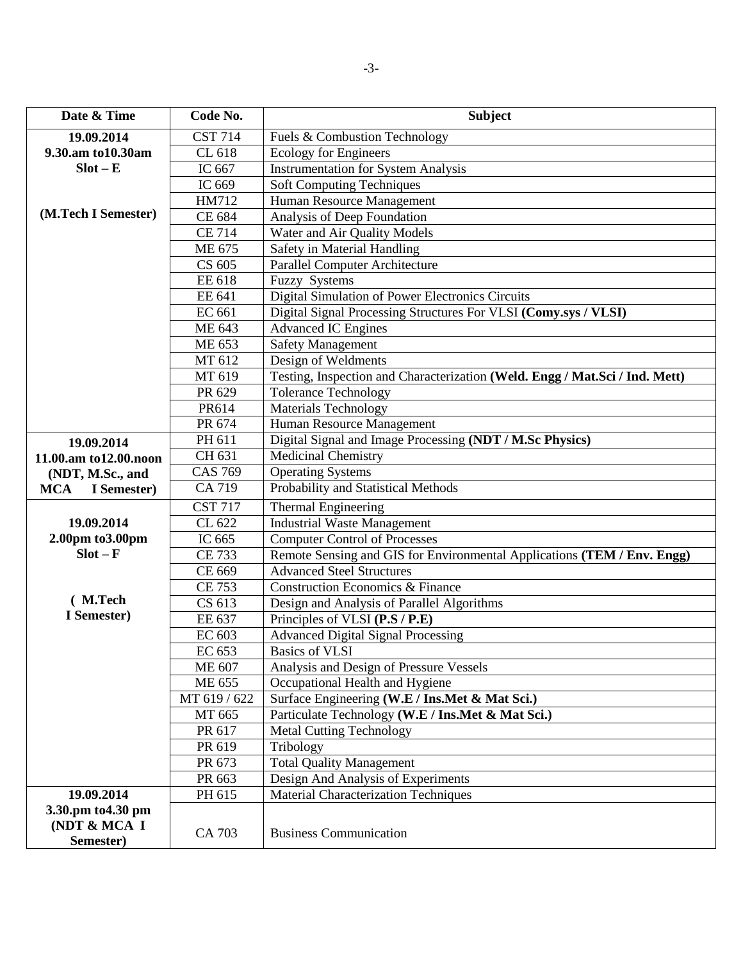| Date & Time                                     | Code No.                    | <b>Subject</b>                                                              |
|-------------------------------------------------|-----------------------------|-----------------------------------------------------------------------------|
| 19.09.2014                                      | $\overline{\text{CST}}$ 714 | Fuels & Combustion Technology                                               |
| 9.30.am to 10.30am                              | CL 618                      | <b>Ecology for Engineers</b>                                                |
| $Slot - E$                                      | IC 667                      | <b>Instrumentation for System Analysis</b>                                  |
|                                                 | IC 669                      | <b>Soft Computing Techniques</b>                                            |
|                                                 | HM712                       | Human Resource Management                                                   |
| (M.Tech I Semester)                             | CE 684                      | Analysis of Deep Foundation                                                 |
|                                                 | <b>CE 714</b>               | Water and Air Quality Models                                                |
|                                                 | ME 675                      | <b>Safety in Material Handling</b>                                          |
|                                                 | CS 605                      | Parallel Computer Architecture                                              |
|                                                 | EE 618                      | <b>Fuzzy Systems</b>                                                        |
|                                                 | EE 641                      | Digital Simulation of Power Electronics Circuits                            |
|                                                 | EC 661                      | Digital Signal Processing Structures For VLSI (Comy.sys / VLSI)             |
|                                                 | ME 643                      | <b>Advanced IC Engines</b>                                                  |
|                                                 | ME 653                      | <b>Safety Management</b>                                                    |
|                                                 | MT 612                      | Design of Weldments                                                         |
|                                                 | MT 619                      | Testing, Inspection and Characterization (Weld. Engg / Mat.Sci / Ind. Mett) |
|                                                 | PR 629                      | <b>Tolerance Technology</b>                                                 |
|                                                 | PR614                       | <b>Materials Technology</b>                                                 |
|                                                 | PR 674                      | Human Resource Management                                                   |
| 19.09.2014                                      | PH 611                      | Digital Signal and Image Processing (NDT / M.Sc Physics)                    |
| 11.00.am to12.00.noon                           | CH 631                      | <b>Medicinal Chemistry</b>                                                  |
| (NDT, M.Sc., and                                | <b>CAS 769</b>              | <b>Operating Systems</b>                                                    |
| MCA I Semester)                                 | CA 719                      | Probability and Statistical Methods                                         |
|                                                 | <b>CST 717</b>              | Thermal Engineering                                                         |
| 19.09.2014                                      | CL 622                      | <b>Industrial Waste Management</b>                                          |
| 2.00pm to 3.00pm                                | IC 665                      | <b>Computer Control of Processes</b>                                        |
| $Slot - F$                                      | <b>CE 733</b>               | Remote Sensing and GIS for Environmental Applications (TEM / Env. Engg)     |
|                                                 | CE 669                      | <b>Advanced Steel Structures</b>                                            |
|                                                 | <b>CE 753</b>               | <b>Construction Economics &amp; Finance</b>                                 |
| (M.Tech                                         | CS 613                      | Design and Analysis of Parallel Algorithms                                  |
| I Semester)                                     | EE 637                      | Principles of VLSI (P.S / P.E)                                              |
|                                                 | EC 603                      | <b>Advanced Digital Signal Processing</b>                                   |
|                                                 | EC 653                      | <b>Basics of VLSI</b>                                                       |
|                                                 | ME 607                      | Analysis and Design of Pressure Vessels                                     |
|                                                 | <b>ME 655</b>               | Occupational Health and Hygiene                                             |
|                                                 | MT 619 / 622                | Surface Engineering (W.E / Ins.Met & Mat Sci.)                              |
|                                                 | MT 665                      | Particulate Technology (W.E / Ins.Met & Mat Sci.)                           |
|                                                 | PR 617                      | <b>Metal Cutting Technology</b>                                             |
|                                                 | PR 619                      | Tribology                                                                   |
|                                                 | PR 673                      | <b>Total Quality Management</b>                                             |
|                                                 | PR 663                      | Design And Analysis of Experiments                                          |
| 19.09.2014                                      | PH 615                      | <b>Material Characterization Techniques</b>                                 |
| 3.30.pm to 4.30 pm<br>(NDT & MCA I<br>Semester) | CA 703                      | <b>Business Communication</b>                                               |